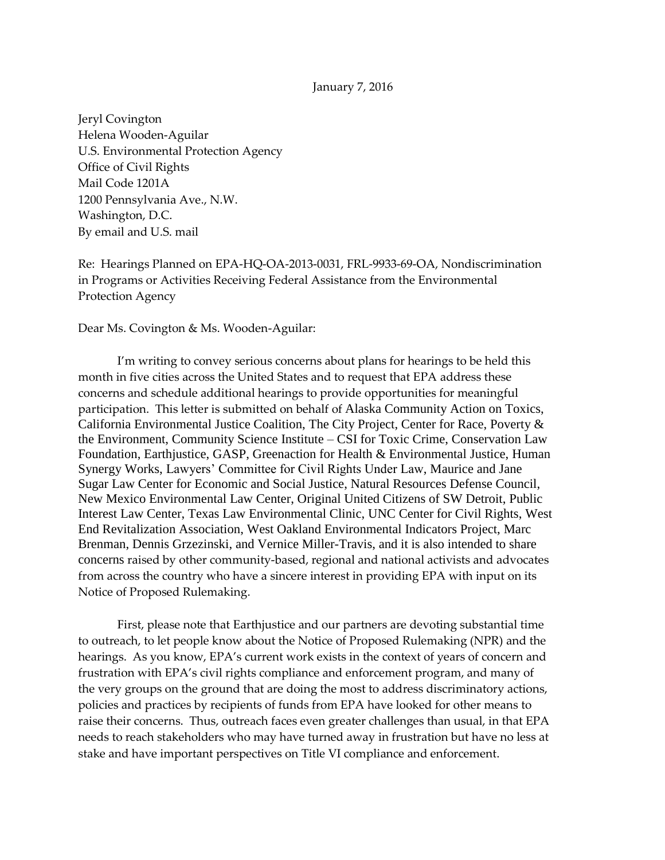## January 7, 2016

Jeryl Covington Helena Wooden-Aguilar U.S. Environmental Protection Agency Office of Civil Rights Mail Code 1201A 1200 Pennsylvania Ave., N.W. Washington, D.C. By email and U.S. mail

Re: Hearings Planned on EPA-HQ-OA-2013-0031, FRL-9933-69-OA, Nondiscrimination in Programs or Activities Receiving Federal Assistance from the Environmental Protection Agency

Dear Ms. Covington & Ms. Wooden-Aguilar:

I'm writing to convey serious concerns about plans for hearings to be held this month in five cities across the United States and to request that EPA address these concerns and schedule additional hearings to provide opportunities for meaningful participation. This letter is submitted on behalf of Alaska Community Action on Toxics, California Environmental Justice Coalition, The City Project, Center for Race, Poverty & the Environment, Community Science Institute – CSI for Toxic Crime, Conservation Law Foundation, Earthjustice, GASP, Greenaction for Health & Environmental Justice, Human Synergy Works, Lawyers' Committee for Civil Rights Under Law, Maurice and Jane Sugar Law Center for Economic and Social Justice, Natural Resources Defense Council, New Mexico Environmental Law Center, Original United Citizens of SW Detroit, Public Interest Law Center, Texas Law Environmental Clinic, UNC Center for Civil Rights, West End Revitalization Association, West Oakland Environmental Indicators Project, Marc Brenman, Dennis Grzezinski, and Vernice Miller-Travis, and it is also intended to share concerns raised by other community-based, regional and national activists and advocates from across the country who have a sincere interest in providing EPA with input on its Notice of Proposed Rulemaking.

First, please note that Earthjustice and our partners are devoting substantial time to outreach, to let people know about the Notice of Proposed Rulemaking (NPR) and the hearings. As you know, EPA's current work exists in the context of years of concern and frustration with EPA's civil rights compliance and enforcement program, and many of the very groups on the ground that are doing the most to address discriminatory actions, policies and practices by recipients of funds from EPA have looked for other means to raise their concerns. Thus, outreach faces even greater challenges than usual, in that EPA needs to reach stakeholders who may have turned away in frustration but have no less at stake and have important perspectives on Title VI compliance and enforcement.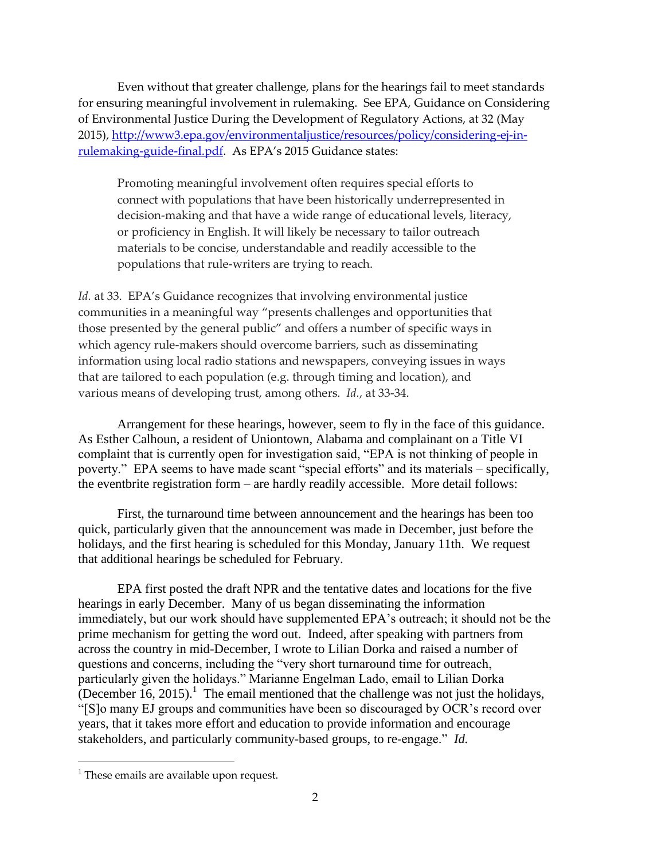Even without that greater challenge, plans for the hearings fail to meet standards for ensuring meaningful involvement in rulemaking. See EPA, Guidance on Considering of Environmental Justice During the Development of Regulatory Actions, at 32 (May 2015), [http://www3.epa.gov/environmentaljustice/resources/policy/considering-ej-in](http://www3.epa.gov/environmentaljustice/resources/policy/considering-ej-in-rulemaking-guide-final.pdf)[rulemaking-guide-final.pdf](http://www3.epa.gov/environmentaljustice/resources/policy/considering-ej-in-rulemaking-guide-final.pdf). As EPA's 2015 Guidance states:

Promoting meaningful involvement often requires special efforts to connect with populations that have been historically underrepresented in decision-making and that have a wide range of educational levels, literacy, or proficiency in English. It will likely be necessary to tailor outreach materials to be concise, understandable and readily accessible to the populations that rule-writers are trying to reach.

*Id.* at 33. EPA's Guidance recognizes that involving environmental justice communities in a meaningful way "presents challenges and opportunities that those presented by the general public" and offers a number of specific ways in which agency rule-makers should overcome barriers, such as disseminating information using local radio stations and newspapers, conveying issues in ways that are tailored to each population (e.g. through timing and location), and various means of developing trust, among others. *Id.*, at 33-34.

Arrangement for these hearings, however, seem to fly in the face of this guidance. As Esther Calhoun, a resident of Uniontown, Alabama and complainant on a Title VI complaint that is currently open for investigation said, "EPA is not thinking of people in poverty." EPA seems to have made scant "special efforts" and its materials – specifically, the eventbrite registration form – are hardly readily accessible. More detail follows:

First, the turnaround time between announcement and the hearings has been too quick, particularly given that the announcement was made in December, just before the holidays, and the first hearing is scheduled for this Monday, January 11th. We request that additional hearings be scheduled for February.

EPA first posted the draft NPR and the tentative dates and locations for the five hearings in early December. Many of us began disseminating the information immediately, but our work should have supplemented EPA's outreach; it should not be the prime mechanism for getting the word out. Indeed, after speaking with partners from across the country in mid-December, I wrote to Lilian Dorka and raised a number of questions and concerns, including the "very short turnaround time for outreach, particularly given the holidays." Marianne Engelman Lado, email to Lilian Dorka (December 16, 2015).<sup>1</sup> The email mentioned that the challenge was not just the holidays, "[S]o many EJ groups and communities have been so discouraged by OCR's record over years, that it takes more effort and education to provide information and encourage stakeholders, and particularly community-based groups, to re-engage." *Id.*

1

 $<sup>1</sup>$  These emails are available upon request.</sup>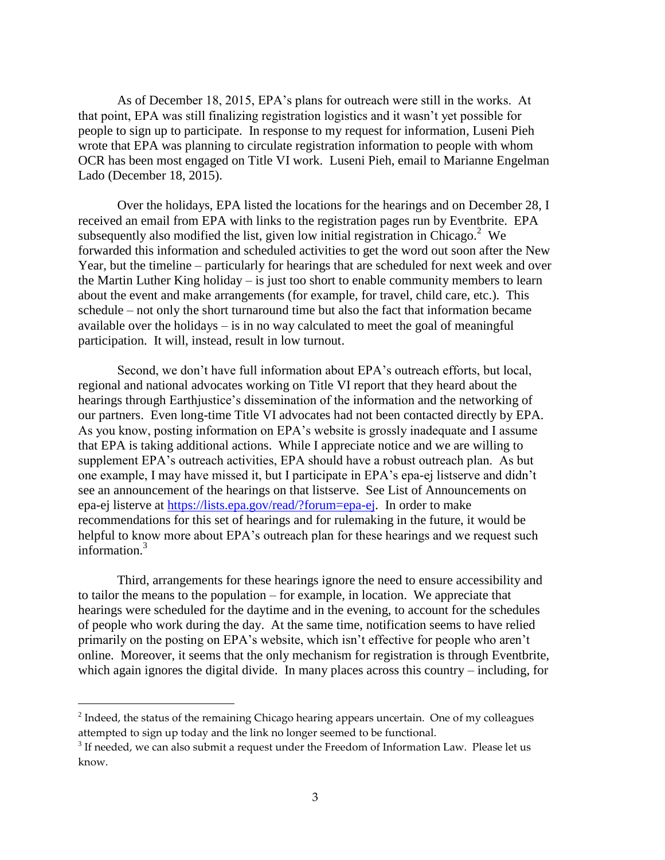As of December 18, 2015, EPA's plans for outreach were still in the works. At that point, EPA was still finalizing registration logistics and it wasn't yet possible for people to sign up to participate. In response to my request for information, Luseni Pieh wrote that EPA was planning to circulate registration information to people with whom OCR has been most engaged on Title VI work. Luseni Pieh, email to Marianne Engelman Lado (December 18, 2015).

Over the holidays, EPA listed the locations for the hearings and on December 28, I received an email from EPA with links to the registration pages run by Eventbrite. EPA subsequently also modified the list, given low initial registration in Chicago.<sup>2</sup> We forwarded this information and scheduled activities to get the word out soon after the New Year, but the timeline – particularly for hearings that are scheduled for next week and over the Martin Luther King holiday – is just too short to enable community members to learn about the event and make arrangements (for example, for travel, child care, etc.). This schedule – not only the short turnaround time but also the fact that information became available over the holidays – is in no way calculated to meet the goal of meaningful participation. It will, instead, result in low turnout.

Second, we don't have full information about EPA's outreach efforts, but local, regional and national advocates working on Title VI report that they heard about the hearings through Earthjustice's dissemination of the information and the networking of our partners. Even long-time Title VI advocates had not been contacted directly by EPA. As you know, posting information on EPA's website is grossly inadequate and I assume that EPA is taking additional actions. While I appreciate notice and we are willing to supplement EPA's outreach activities, EPA should have a robust outreach plan. As but one example, I may have missed it, but I participate in EPA's epa-ej listserve and didn't see an announcement of the hearings on that listserve. See List of Announcements on epa-ej listerve at [https://lists.epa.gov/read/?forum=epa-ej.](https://lists.epa.gov/read/?forum=epa-ej) In order to make recommendations for this set of hearings and for rulemaking in the future, it would be helpful to know more about EPA's outreach plan for these hearings and we request such information.<sup>3</sup>

Third, arrangements for these hearings ignore the need to ensure accessibility and to tailor the means to the population – for example, in location. We appreciate that hearings were scheduled for the daytime and in the evening, to account for the schedules of people who work during the day. At the same time, notification seems to have relied primarily on the posting on EPA's website, which isn't effective for people who aren't online. Moreover, it seems that the only mechanism for registration is through Eventbrite, which again ignores the digital divide. In many places across this country – including, for

1

 $2$  Indeed, the status of the remaining Chicago hearing appears uncertain. One of my colleagues attempted to sign up today and the link no longer seemed to be functional.

 $3$  If needed, we can also submit a request under the Freedom of Information Law. Please let us know.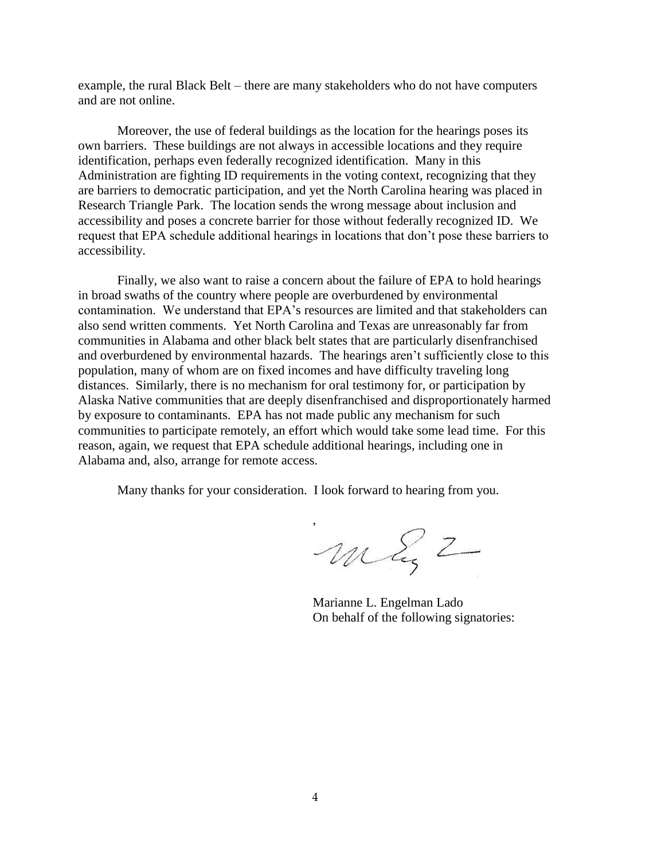example, the rural Black Belt – there are many stakeholders who do not have computers and are not online.

Moreover, the use of federal buildings as the location for the hearings poses its own barriers. These buildings are not always in accessible locations and they require identification, perhaps even federally recognized identification. Many in this Administration are fighting ID requirements in the voting context, recognizing that they are barriers to democratic participation, and yet the North Carolina hearing was placed in Research Triangle Park. The location sends the wrong message about inclusion and accessibility and poses a concrete barrier for those without federally recognized ID. We request that EPA schedule additional hearings in locations that don't pose these barriers to accessibility.

Finally, we also want to raise a concern about the failure of EPA to hold hearings in broad swaths of the country where people are overburdened by environmental contamination. We understand that EPA's resources are limited and that stakeholders can also send written comments. Yet North Carolina and Texas are unreasonably far from communities in Alabama and other black belt states that are particularly disenfranchised and overburdened by environmental hazards. The hearings aren't sufficiently close to this population, many of whom are on fixed incomes and have difficulty traveling long distances. Similarly, there is no mechanism for oral testimony for, or participation by Alaska Native communities that are deeply disenfranchised and disproportionately harmed by exposure to contaminants. EPA has not made public any mechanism for such communities to participate remotely, an effort which would take some lead time. For this reason, again, we request that EPA schedule additional hearings, including one in Alabama and, also, arrange for remote access.

Many thanks for your consideration. I look forward to hearing from you.

maz 2

Marianne L. Engelman Lado On behalf of the following signatories: